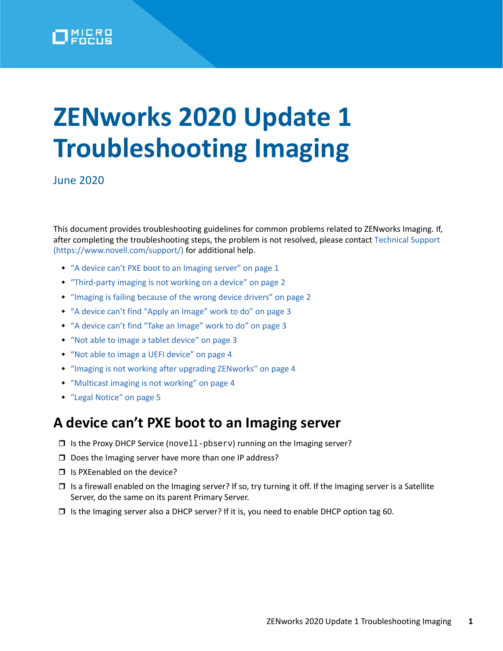

# **ZENworks 2020 Update 1 Troubleshooting Imaging**

June 2020

This document provides troubleshooting guidelines for common problems related to ZENworks Imaging. If, after completing the troubleshooting steps, the problem is not resolved, please contact [Technical Support](https://www.novell.com/support/)  (https://www.novell.com/support/) for additional help.

- ["A device can't PXE boot to an Imaging server" on page 1](#page-0-0)
- ["Third-party imaging is not working on a device" on page 2](#page-1-0)
- ["Imaging is failing because of the wrong device drivers" on page 2](#page-1-1)
- ["A device can't find "Apply an Image" work to do" on page 3](#page-2-0)
- ["A device can't find "Take an Image" work to do" on page 3](#page-2-1)
- ["Not able to image a tablet device" on page 3](#page-2-2)
- ["Not able to image a UEFI device" on page 4](#page-3-0)
- ["Imaging is not working after upgrading ZENworks" on page 4](#page-3-1)
- ["Multicast imaging is not working" on page 4](#page-3-2)
- ["Legal Notice" on page 5](#page-4-0)

#### <span id="page-0-0"></span>**A device can't PXE boot to an Imaging server**

- $\Box$  Is the Proxy DHCP Service (novell-pbserv) running on the Imaging server?
- D Does the Imaging server have more than one IP address?
- $\Box$  Is PXEenabled on the device?
- $\Box$  Is a firewall enabled on the Imaging server? If so, try turning it off. If the Imaging server is a Satellite Server, do the same on its parent Primary Server.
- $\Box$  Is the Imaging server also a DHCP server? If it is, you need to enable DHCP option tag 60.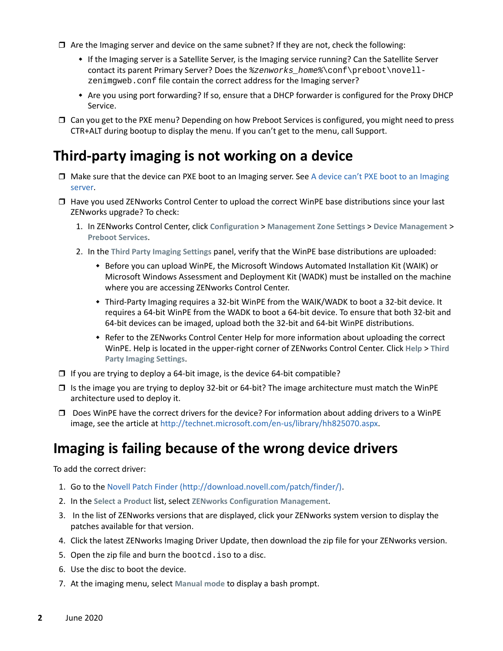- $\Box$  Are the Imaging server and device on the same subnet? If they are not, check the following:
	- If the Imaging server is a Satellite Server, is the Imaging service running? Can the Satellite Server contact its parent Primary Server? Does the *%zenworks\_home%*\conf\preboot\novellzenimgweb.conf file contain the correct address for the Imaging server?
	- Are you using port forwarding? If so, ensure that a DHCP forwarder is configured for the Proxy DHCP Service.
- □ Can you get to the PXE menu? Depending on how Preboot Services is configured, you might need to press CTR+ALT during bootup to display the menu. If you can't get to the menu, call Support.

# <span id="page-1-0"></span>**Third-party imaging is not working on a device**

- $\Box$  Make sure that the device can PXE boot to an Imaging server. See A device can't PXE boot to an Imaging [server.](#page-0-0)
- $\Box$  Have you used ZENworks Control Center to upload the correct WinPE base distributions since your last ZENworks upgrade? To check:
	- 1. In ZENworks Control Center, click **Configuration** > **Management Zone Settings** > **Device Management** > **Preboot Services**.
	- 2. In the **Third Party Imaging Settings** panel, verify that the WinPE base distributions are uploaded:
		- Before you can upload WinPE, the Microsoft Windows Automated Installation Kit (WAIK) or Microsoft Windows Assessment and Deployment Kit (WADK) must be installed on the machine where you are accessing ZENworks Control Center.
		- Third-Party Imaging requires a 32-bit WinPE from the WAIK/WADK to boot a 32-bit device. It requires a 64-bit WinPE from the WADK to boot a 64-bit device. To ensure that both 32-bit and 64-bit devices can be imaged, upload both the 32-bit and 64-bit WinPE distributions.
		- Refer to the ZENworks Control Center Help for more information about uploading the correct WinPE. Help is located in the upper-right corner of ZENworks Control Center. Click **Help** > **Third Party Imaging Settings**.
- $\Box$  If you are trying to deploy a 64-bit image, is the device 64-bit compatible?
- $\Box$  Is the image you are trying to deploy 32-bit or 64-bit? The image architecture must match the WinPE architecture used to deploy it.
- $\Box$  Does WinPE have the correct drivers for the device? For information about adding drivers to a WinPE image, see the article at<http://technet.microsoft.com/en-us/library/hh825070.aspx>.

# <span id="page-1-1"></span>**Imaging is failing because of the wrong device drivers**

To add the correct driver:

- 1. Go to the [Novell Patch Finder](http://download.novell.com/patch/finder/) (http://download.novell.com/patch/finder/).
- 2. In the **Select a Product** list, select **ZENworks Configuration Management**.
- 3. In the list of ZENworks versions that are displayed, click your ZENworks system version to display the patches available for that version.
- 4. Click the latest ZENworks Imaging Driver Update, then download the zip file for your ZENworks version.
- 5. Open the zip file and burn the bootcd.iso to a disc.
- 6. Use the disc to boot the device.
- 7. At the imaging menu, select **Manual mode** to display a bash prompt.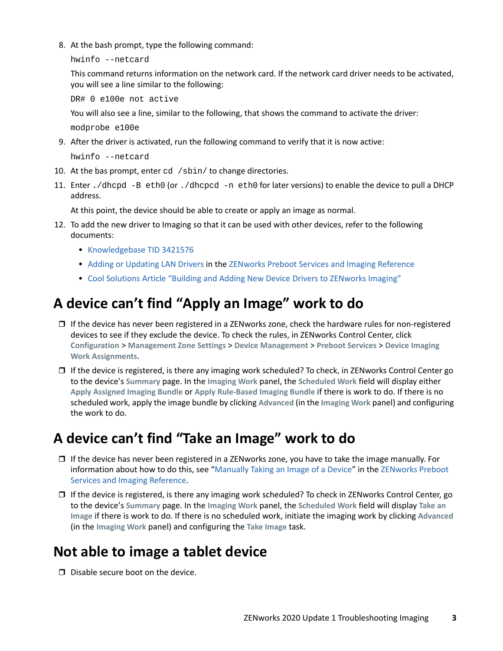8. At the bash prompt, type the following command:

```
hwinfo --netcard
```
This command returns information on the network card. If the network card driver needs to be activated, you will see a line similar to the following:

DR# 0 e100e not active

You will also see a line, similar to the following, that shows the command to activate the driver:

modprobe e100e

9. After the driver is activated, run the following command to verify that it is now active:

hwinfo --netcard

- 10. At the bas prompt, enter cd /sbin/ to change directories.
- 11. Enter ./dhcpd -B eth0 (or ./dhcpcd -n eth0 for later versions) to enable the device to pull a DHCP address.

At this point, the device should be able to create or apply an image as normal.

- 12. To add the new driver to Imaging so that it can be used with other devices, refer to the following documents:
	- **[Knowledgebase TID 3421576](https://www.novell.com/support/kb/doc.php?id=3421576)**
	- [Adding or Updating LAN Drivers](https://www.novell.com/documentation/zenworks-2020/pdfdoc/zen_cm_preboot_imaging/zen_cm_preboot_imaging.pdf#b2cdmbg) in the [ZENworks Preboot Services and Imaging Reference](https://www.novell.com/documentation/zenworks-2020/pdfdoc/zen_cm_preboot_imaging/zen_cm_preboot_imaging.pdf#bookinfo)
	- [Cool Solutions Article "Building and Adding New Device Drivers to ZENworks Imaging"](https://www.novell.com/communities/coolsolutions/building-adding-new-device-drivers-zenworks-imaging/)

# <span id="page-2-0"></span>**A device can't find "Apply an Image" work to do**

- $\Box$  If the device has never been registered in a ZENworks zone, check the hardware rules for non-registered devices to see if they exclude the device. To check the rules, in ZENworks Control Center, click **Configuration** > **Management Zone Settings** > **Device Management** > **Preboot Services** > **Device Imaging Work Assignments**.
- $\Box$  If the device is registered, is there any imaging work scheduled? To check, in ZENworks Control Center go to the device's **Summary** page. In the **Imaging Work** panel, the **Scheduled Work** field will display either **Apply Assigned Imaging Bundle** or **Apply Rule-Based Imaging Bundle** if there is work to do. If there is no scheduled work, apply the image bundle by clicking **Advanced** (in the **Imaging Work** panel) and configuring the work to do.

# <span id="page-2-1"></span>**A device can't find "Take an Image" work to do**

- □ If the device has never been registered in a ZENworks zone, you have to take the image manually. For information about how to do this, see ["Manually Taking an Image of a Device"](https://www.novell.com/documentation/zenworks-2020/pdfdoc/zen_cm_preboot_imaging/zen_cm_preboot_imaging.pdf#bvekbv8) in the [ZENworks Preboot](https://www.novell.com/documentation/zenworks-2020/pdfdoc/zen_cm_preboot_imaging/zen_cm_preboot_imaging.pdf#bookinfo)  [Services and Imaging Reference.](https://www.novell.com/documentation/zenworks-2020/pdfdoc/zen_cm_preboot_imaging/zen_cm_preboot_imaging.pdf#bookinfo)
- $\Box$  If the device is registered, is there any imaging work scheduled? To check in ZENworks Control Center, go to the device's **Summary** page. In the **Imaging Work** panel, the **Scheduled Work** field will display **Take an Image** if there is work to do. If there is no scheduled work, initiate the imaging work by clicking **Advanced** (in the **Imaging Work** panel) and configuring the **Take Image** task.

# <span id="page-2-2"></span>**Not able to image a tablet device**

 $\Box$  Disable secure boot on the device.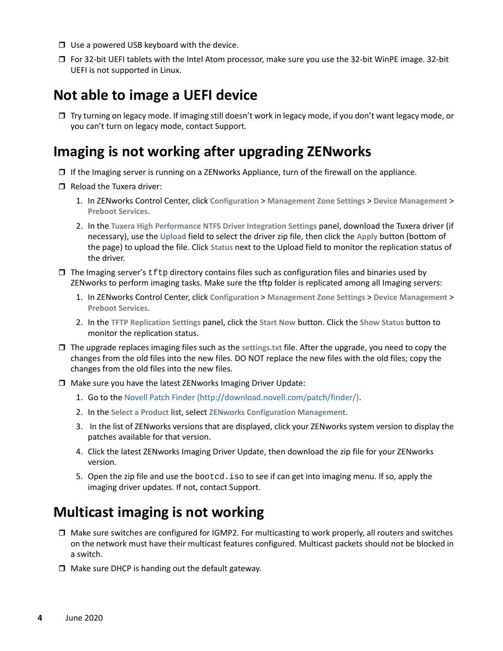- $\Box$  Use a powered USB keyboard with the device.
- For 32-bit UEFI tablets with the Intel Atom processor, make sure you use the 32-bit WinPE image. 32-bit UEFI is not supported in Linux.

#### <span id="page-3-0"></span>**Not able to image a UEFI device**

 Try turning on legacy mode. If imaging still doesn't work in legacy mode, if you don't want legacy mode, or you can't turn on legacy mode, contact Support.

# <span id="page-3-1"></span>**Imaging is not working after upgrading ZENworks**

- $\Box$  If the Imaging server is running on a ZENworks Appliance, turn of the firewall on the appliance.
- $\Box$  Reload the Tuxera driver:
	- 1. In ZENworks Control Center, click **Configuration** > **Management Zone Settings** > **Device Management** > **Preboot Services**.
	- 2. In the **Tuxera High Performance NTFS Driver Integration Settings** panel, download the Tuxera driver (if necessary), use the **Upload** field to select the driver zip file, then click the **Apply** button (bottom of the page) to upload the file. Click **Status** next to the Upload field to monitor the replication status of the driver.
- $\Box$  The Imaging server's  $\text{tftp}$  directory contains files such as configuration files and binaries used by ZENworks to perform imaging tasks. Make sure the tftp folder is replicated among all Imaging servers:
	- 1. In ZENworks Control Center, click **Configuration** > **Management Zone Settings** > **Device Management** > **Preboot Services**.
	- 2. In the **TFTP Replication Settings** panel, click the **Start Now** button. Click the **Show Status** button to monitor the replication status.
- The upgrade replaces imaging files such as the **settings.txt** file. After the upgrade, you need to copy the changes from the old files into the new files. DO NOT replace the new files with the old files; copy the changes from the old files into the new files.
- Make sure you have the latest ZENworks Imaging Driver Update:
	- 1. Go to the [Novell Patch Finder](http://download.novell.com/patch/finder/) (http://download.novell.com/patch/finder/).
	- 2. In the **Select a Product** list, select **ZENworks Configuration Management**.
	- 3. In the list of ZENworks versions that are displayed, click your ZENworks system version to display the patches available for that version.
	- 4. Click the latest ZENworks Imaging Driver Update, then download the zip file for your ZENworks version.
	- 5. Open the zip file and use the bootcd.iso to see if can get into imaging menu. If so, apply the imaging driver updates. If not, contact Support.

# <span id="page-3-2"></span>**Multicast imaging is not working**

- $\Box$  Make sure switches are configured for IGMP2. For multicasting to work properly, all routers and switches on the network must have their multicast features configured. Multicast packets should not be blocked in a switch.
- $\Box$  Make sure DHCP is handing out the default gateway.